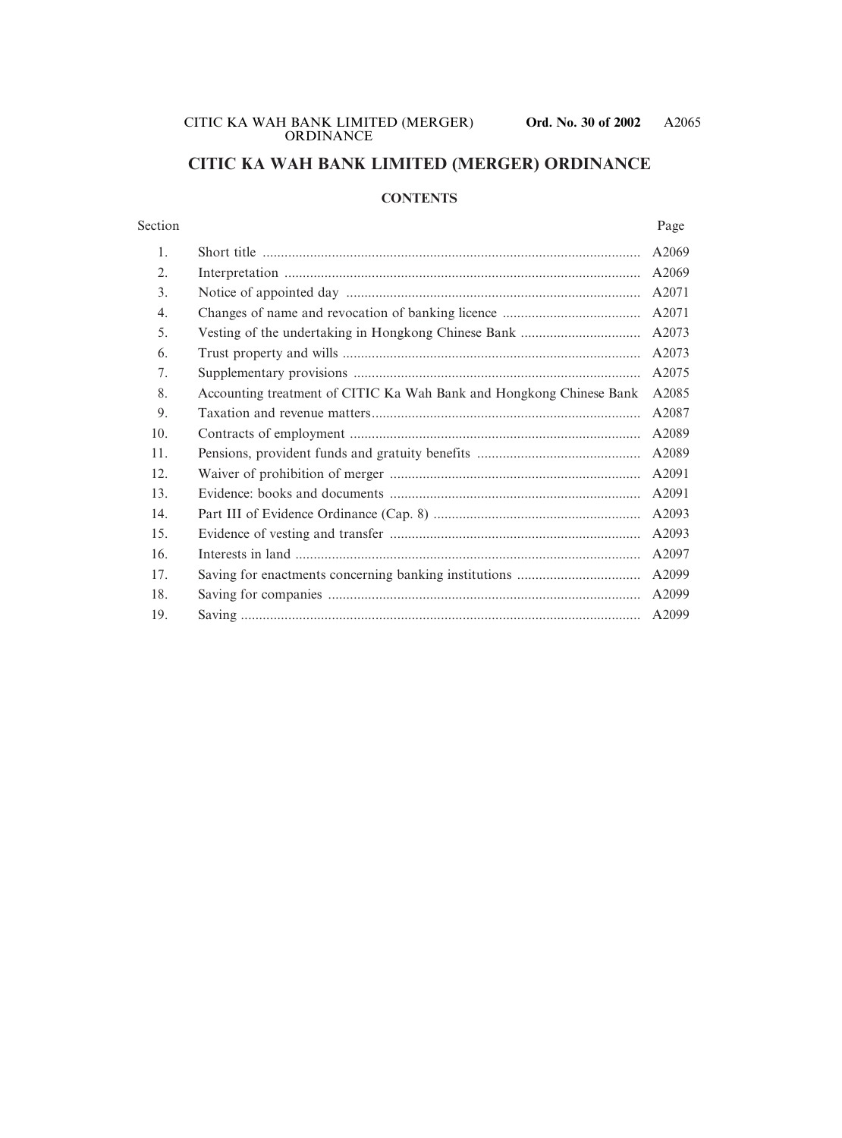# **CITIC KA WAH BANK LIMITED (MERGER) ORDINANCE**

# **CONTENTS**

#### Section Page

|                                                                     | A2069 |
|---------------------------------------------------------------------|-------|
|                                                                     | A2069 |
|                                                                     | A2071 |
|                                                                     | A2071 |
|                                                                     | A2073 |
|                                                                     | A2073 |
|                                                                     | A2075 |
| Accounting treatment of CITIC Ka Wah Bank and Hongkong Chinese Bank | A2085 |
|                                                                     | A2087 |
|                                                                     | A2089 |
|                                                                     | A2089 |
|                                                                     | A2091 |
|                                                                     | A2091 |
|                                                                     | A2093 |
|                                                                     | A2093 |
|                                                                     | A2097 |
|                                                                     | A2099 |
|                                                                     | A2099 |
|                                                                     | A2099 |
|                                                                     |       |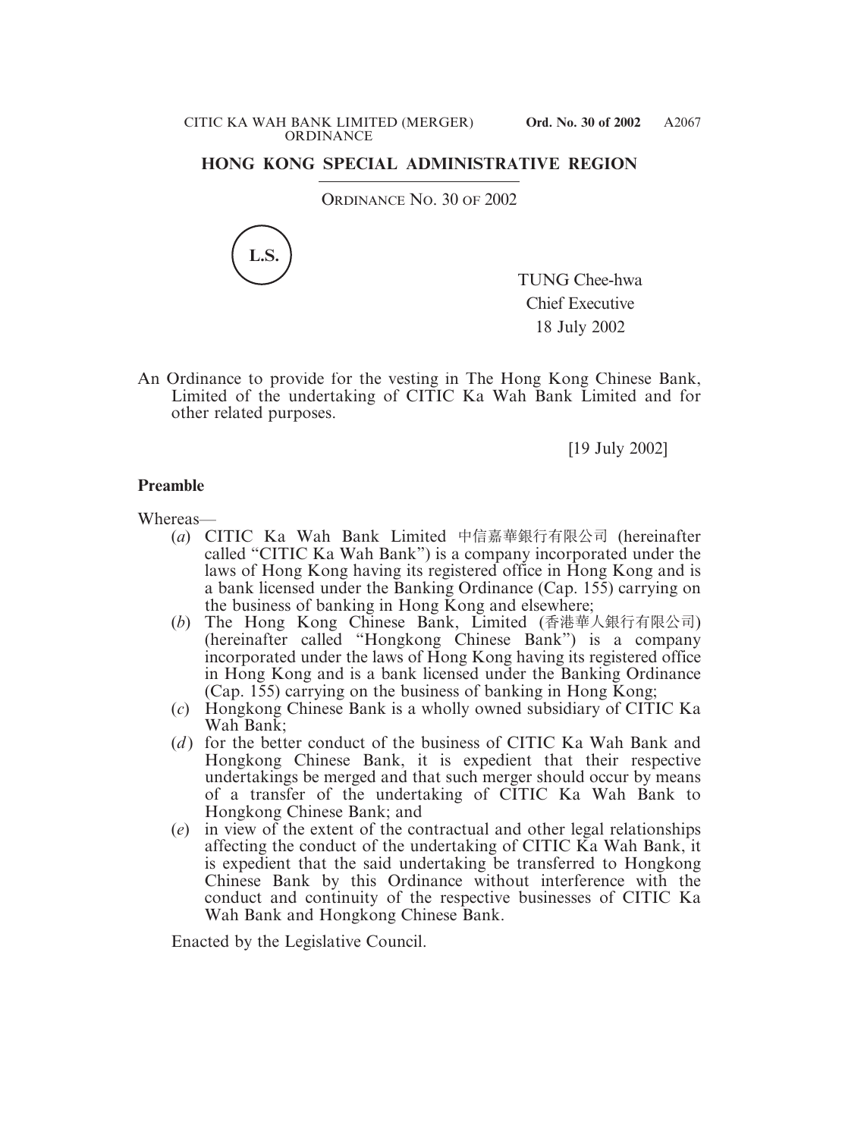## **HONG KONG SPECIAL ADMINISTRATIVE REGION**

ORDINANCE NO. 30 OF 2002



TUNG Chee-hwa Chief Executive 18 July 2002

An Ordinance to provide for the vesting in The Hong Kong Chinese Bank, Limited of the undertaking of CITIC Ka Wah Bank Limited and for other related purposes.

[19 July 2002]

## **Preamble**

Whereas—

- (*a*) CITIC Ka Wah Bank Limited 中信嘉華銀行有限公司 (hereinafter called "CITIC Ka Wah Bank") is a company incorporated under the laws of Hong Kong having its registered office in Hong Kong and is a bank licensed under the Banking Ordinance (Cap. 155) carrying on the business of banking in Hong Kong and elsewhere;
- (*b*) The Hong Kong Chinese Bank, Limited (香港華人銀行有限公司) (hereinafter called "Hongkong Chinese Bank") is a company incorporated under the laws of Hong Kong having its registered office in Hong Kong and is a bank licensed under the Banking Ordinance (Cap. 155) carrying on the business of banking in Hong Kong;
- (*c*) Hongkong Chinese Bank is a wholly owned subsidiary of CITIC Ka Wah Bank;
- (*d* ) for the better conduct of the business of CITIC Ka Wah Bank and Hongkong Chinese Bank, it is expedient that their respective undertakings be merged and that such merger should occur by means of a transfer of the undertaking of CITIC Ka Wah Bank to Hongkong Chinese Bank; and
- (*e*) in view of the extent of the contractual and other legal relationships affecting the conduct of the undertaking of CITIC Ka Wah Bank, it is expedient that the said undertaking be transferred to Hongkong Chinese Bank by this Ordinance without interference with the conduct and continuity of the respective businesses of CITIC Ka Wah Bank and Hongkong Chinese Bank.

Enacted by the Legislative Council.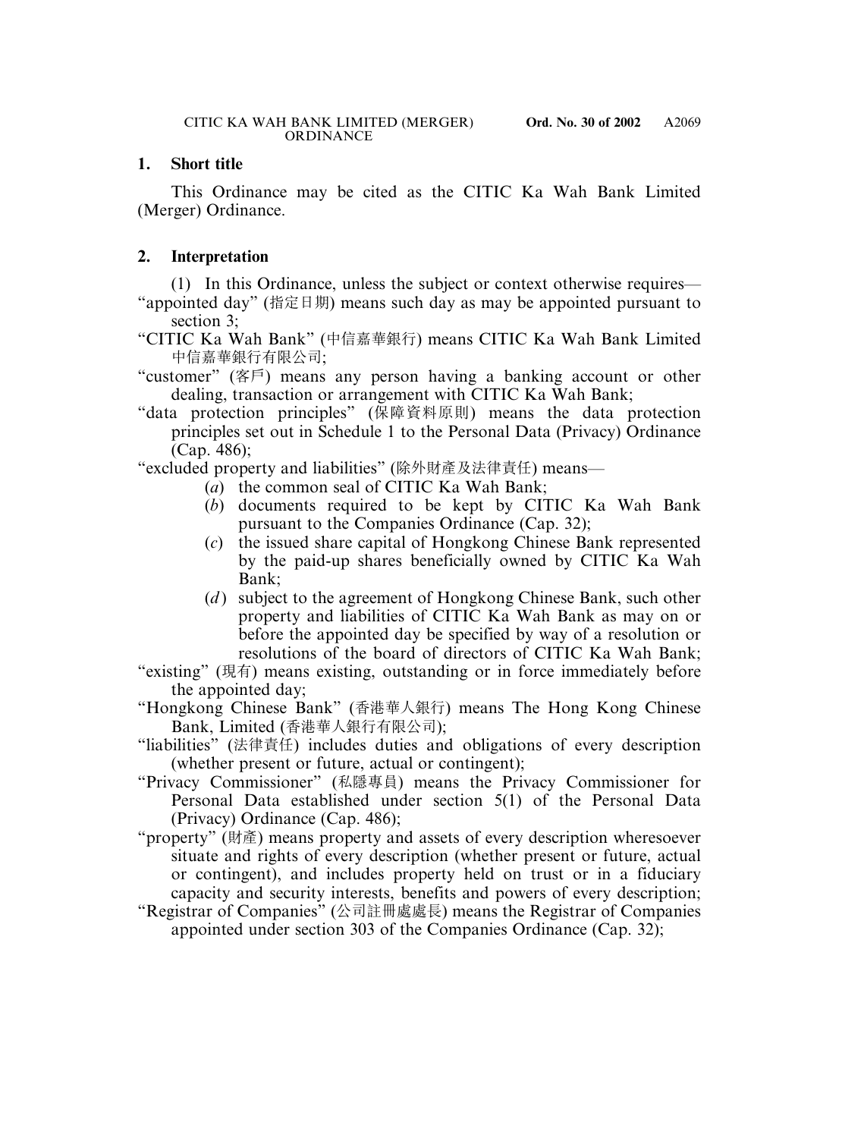# **1. Short title**

This Ordinance may be cited as the CITIC Ka Wah Bank Limited (Merger) Ordinance.

# **2. Interpretation**

(1) In this Ordinance, unless the subject or context otherwise requires— "appointed day" (指定日期) means such day as may be appointed pursuant to section 3;

"CITIC Ka Wah Bank" (中信嘉華銀行) means CITIC Ka Wah Bank Limited 中信嘉華銀行有限公司;

- "customer" (客戶) means any person having a banking account or other dealing, transaction or arrangement with CITIC Ka Wah Bank;
- "data protection principles" (保障資料原則) means the data protection principles set out in Schedule 1 to the Personal Data (Privacy) Ordinance (Cap. 486);

"excluded property and liabilities" (除外財產及法律責任) means—

- (*a*) the common seal of CITIC Ka Wah Bank;
- (*b*) documents required to be kept by CITIC Ka Wah Bank pursuant to the Companies Ordinance (Cap. 32);
- (*c*) the issued share capital of Hongkong Chinese Bank represented by the paid-up shares beneficially owned by CITIC Ka Wah Bank;
- (*d*) subject to the agreement of Hongkong Chinese Bank, such other property and liabilities of CITIC Ka Wah Bank as may on or before the appointed day be specified by way of a resolution or resolutions of the board of directors of CITIC Ka Wah Bank;
- "existing" (現有) means existing, outstanding or in force immediately before the appointed day;
- "Hongkong Chinese Bank" (香港華人銀行) means The Hong Kong Chinese Bank, Limited (香港華人銀行有限公司);
- "liabilities" (法律責任) includes duties and obligations of every description (whether present or future, actual or contingent);
- "Privacy Commissioner" (私隱專員) means the Privacy Commissioner for Personal Data established under section 5(1) of the Personal Data (Privacy) Ordinance (Cap. 486);
- "property" (財產) means property and assets of every description wheresoever situate and rights of every description (whether present or future, actual or contingent), and includes property held on trust or in a fiduciary capacity and security interests, benefits and powers of every description;
- "Registrar of Companies" (公司註冊處處長) means the Registrar of Companies appointed under section 303 of the Companies Ordinance (Cap. 32);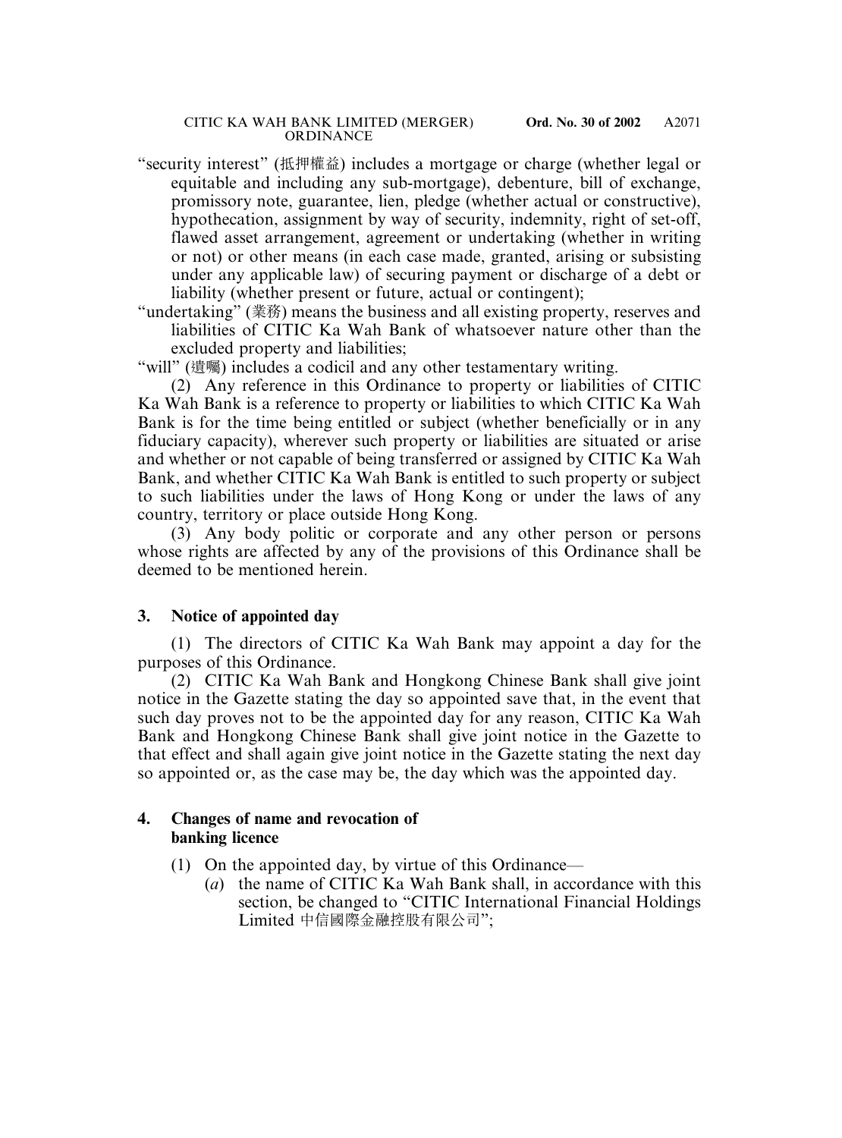- "security interest" (抵押權益) includes a mortgage or charge (whether legal or equitable and including any sub-mortgage), debenture, bill of exchange, promissory note, guarantee, lien, pledge (whether actual or constructive), hypothecation, assignment by way of security, indemnity, right of set-off, flawed asset arrangement, agreement or undertaking (whether in writing or not) or other means (in each case made, granted, arising or subsisting under any applicable law) of securing payment or discharge of a debt or liability (whether present or future, actual or contingent);
- "undertaking" (業務) means the business and all existing property, reserves and liabilities of CITIC Ka Wah Bank of whatsoever nature other than the excluded property and liabilities;

"will" (遺囑) includes a codicil and any other testamentary writing.

(2) Any reference in this Ordinance to property or liabilities of CITIC Ka Wah Bank is a reference to property or liabilities to which CITIC Ka Wah Bank is for the time being entitled or subject (whether beneficially or in any fiduciary capacity), wherever such property or liabilities are situated or arise and whether or not capable of being transferred or assigned by CITIC Ka Wah Bank, and whether CITIC Ka Wah Bank is entitled to such property or subject to such liabilities under the laws of Hong Kong or under the laws of any country, territory or place outside Hong Kong.

(3) Any body politic or corporate and any other person or persons whose rights are affected by any of the provisions of this Ordinance shall be deemed to be mentioned herein.

#### **3. Notice of appointed day**

(1) The directors of CITIC Ka Wah Bank may appoint a day for the purposes of this Ordinance.

(2) CITIC Ka Wah Bank and Hongkong Chinese Bank shall give joint notice in the Gazette stating the day so appointed save that, in the event that such day proves not to be the appointed day for any reason, CITIC Ka Wah Bank and Hongkong Chinese Bank shall give joint notice in the Gazette to that effect and shall again give joint notice in the Gazette stating the next day so appointed or, as the case may be, the day which was the appointed day.

## **4. Changes of name and revocation of banking licence**

- (1) On the appointed day, by virtue of this Ordinance—
	- (*a*) the name of CITIC Ka Wah Bank shall, in accordance with this section, be changed to "CITIC International Financial Holdings Limited 中信國際金融控股有限公司";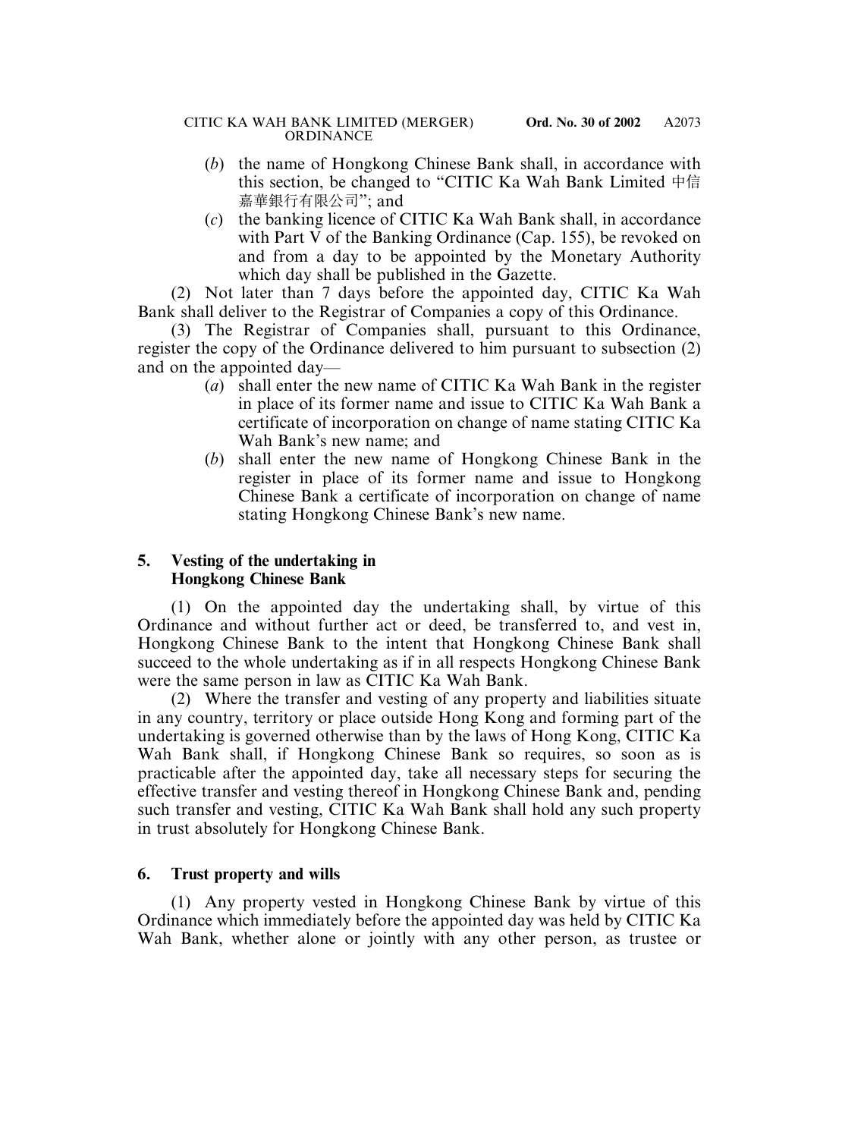- (*b*) the name of Hongkong Chinese Bank shall, in accordance with this section, be changed to "CITIC Ka Wah Bank Limited 中信 嘉華銀行有限公司"; and
- (*c*) the banking licence of CITIC Ka Wah Bank shall, in accordance with Part V of the Banking Ordinance (Cap. 155), be revoked on and from a day to be appointed by the Monetary Authority which day shall be published in the Gazette.

(2) Not later than 7 days before the appointed day, CITIC Ka Wah Bank shall deliver to the Registrar of Companies a copy of this Ordinance.

(3) The Registrar of Companies shall, pursuant to this Ordinance, register the copy of the Ordinance delivered to him pursuant to subsection (2) and on the appointed day—

- (*a*) shall enter the new name of CITIC Ka Wah Bank in the register in place of its former name and issue to CITIC Ka Wah Bank a certificate of incorporation on change of name stating CITIC Ka Wah Bank's new name; and
- (*b*) shall enter the new name of Hongkong Chinese Bank in the register in place of its former name and issue to Hongkong Chinese Bank a certificate of incorporation on change of name stating Hongkong Chinese Bank's new name.

# **5. Vesting of the undertaking in Hongkong Chinese Bank**

(1) On the appointed day the undertaking shall, by virtue of this Ordinance and without further act or deed, be transferred to, and vest in, Hongkong Chinese Bank to the intent that Hongkong Chinese Bank shall succeed to the whole undertaking as if in all respects Hongkong Chinese Bank were the same person in law as CITIC Ka Wah Bank.

(2) Where the transfer and vesting of any property and liabilities situate in any country, territory or place outside Hong Kong and forming part of the undertaking is governed otherwise than by the laws of Hong Kong, CITIC Ka Wah Bank shall, if Hongkong Chinese Bank so requires, so soon as is practicable after the appointed day, take all necessary steps for securing the effective transfer and vesting thereof in Hongkong Chinese Bank and, pending such transfer and vesting, CITIC Ka Wah Bank shall hold any such property in trust absolutely for Hongkong Chinese Bank.

# **6. Trust property and wills**

(1) Any property vested in Hongkong Chinese Bank by virtue of this Ordinance which immediately before the appointed day was held by CITIC Ka Wah Bank, whether alone or jointly with any other person, as trustee or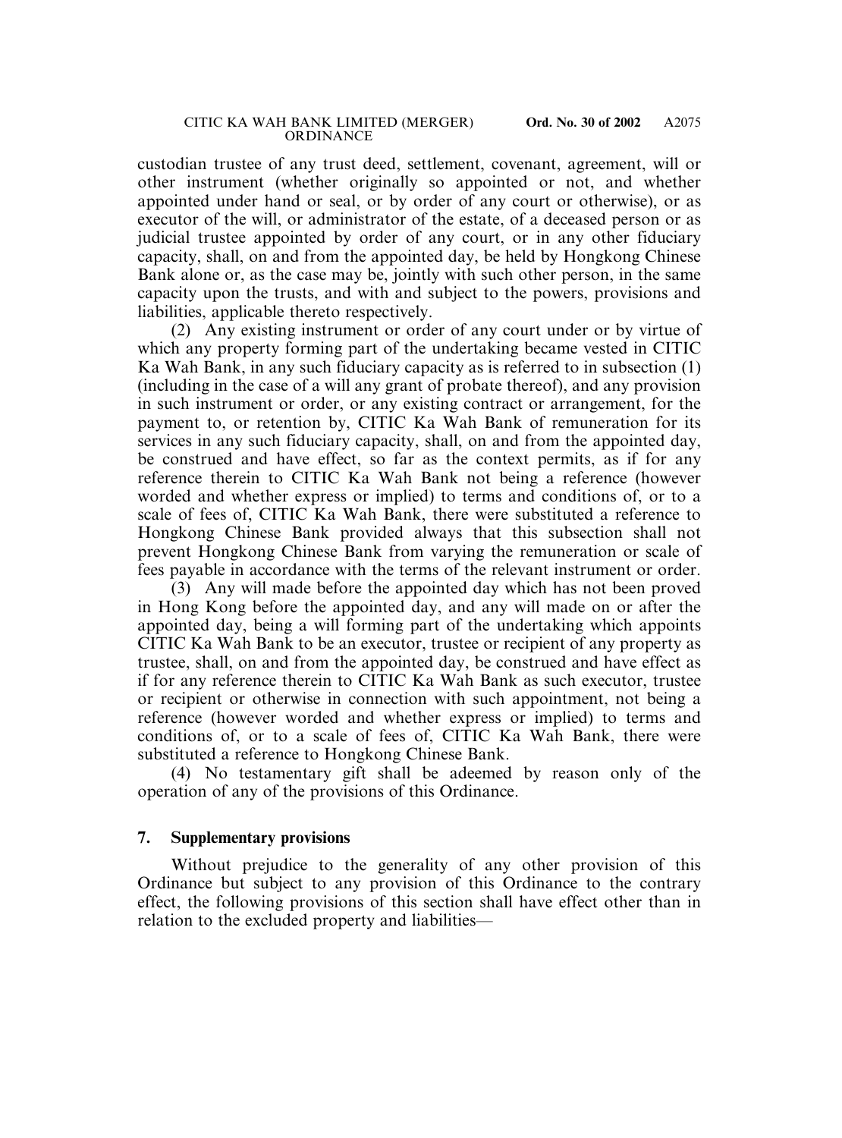custodian trustee of any trust deed, settlement, covenant, agreement, will or other instrument (whether originally so appointed or not, and whether appointed under hand or seal, or by order of any court or otherwise), or as executor of the will, or administrator of the estate, of a deceased person or as judicial trustee appointed by order of any court, or in any other fiduciary capacity, shall, on and from the appointed day, be held by Hongkong Chinese Bank alone or, as the case may be, jointly with such other person, in the same capacity upon the trusts, and with and subject to the powers, provisions and liabilities, applicable thereto respectively.

(2) Any existing instrument or order of any court under or by virtue of which any property forming part of the undertaking became vested in CITIC Ka Wah Bank, in any such fiduciary capacity as is referred to in subsection (1) (including in the case of a will any grant of probate thereof), and any provision in such instrument or order, or any existing contract or arrangement, for the payment to, or retention by, CITIC Ka Wah Bank of remuneration for its services in any such fiduciary capacity, shall, on and from the appointed day, be construed and have effect, so far as the context permits, as if for any reference therein to CITIC Ka Wah Bank not being a reference (however worded and whether express or implied) to terms and conditions of, or to a scale of fees of, CITIC Ka Wah Bank, there were substituted a reference to Hongkong Chinese Bank provided always that this subsection shall not prevent Hongkong Chinese Bank from varying the remuneration or scale of fees payable in accordance with the terms of the relevant instrument or order.

(3) Any will made before the appointed day which has not been proved in Hong Kong before the appointed day, and any will made on or after the appointed day, being a will forming part of the undertaking which appoints CITIC Ka Wah Bank to be an executor, trustee or recipient of any property as trustee, shall, on and from the appointed day, be construed and have effect as if for any reference therein to CITIC Ka Wah Bank as such executor, trustee or recipient or otherwise in connection with such appointment, not being a reference (however worded and whether express or implied) to terms and conditions of, or to a scale of fees of, CITIC Ka Wah Bank, there were substituted a reference to Hongkong Chinese Bank.

(4) No testamentary gift shall be adeemed by reason only of the operation of any of the provisions of this Ordinance.

## **7. Supplementary provisions**

Without prejudice to the generality of any other provision of this Ordinance but subject to any provision of this Ordinance to the contrary effect, the following provisions of this section shall have effect other than in relation to the excluded property and liabilities—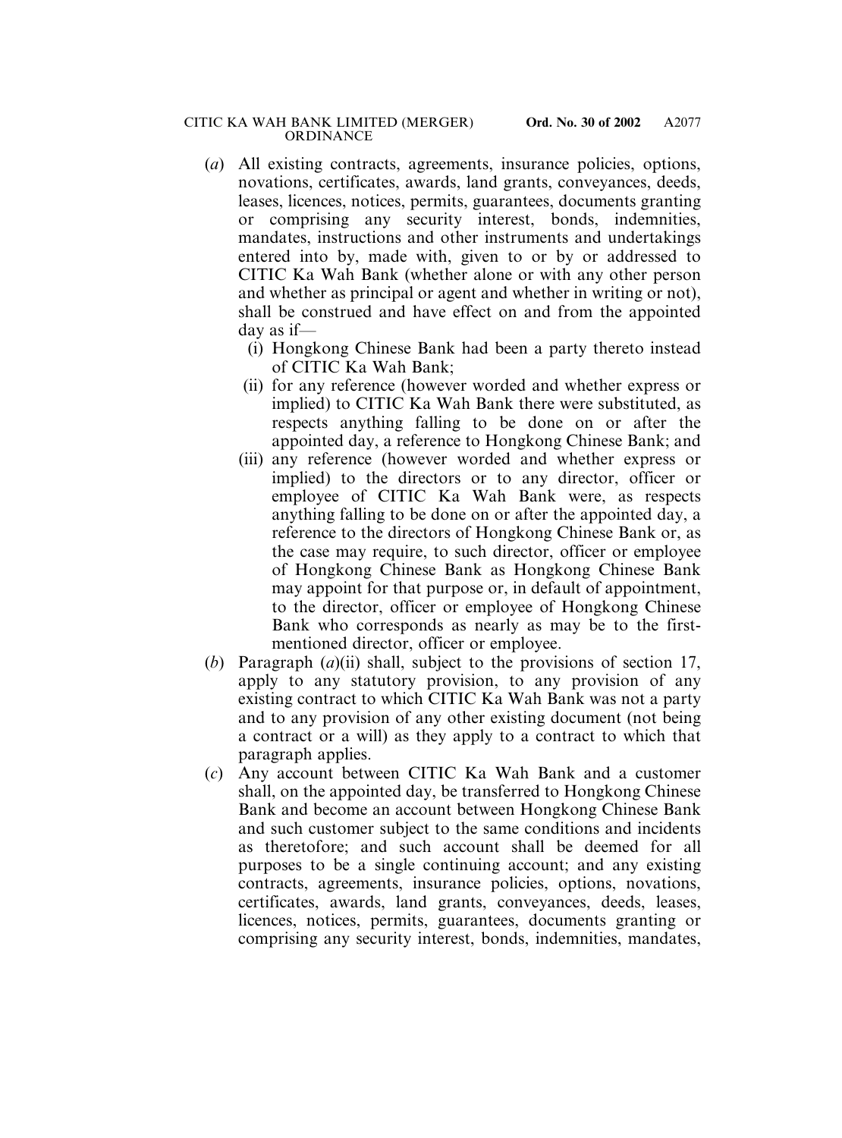- (*a*) All existing contracts, agreements, insurance policies, options, novations, certificates, awards, land grants, conveyances, deeds, leases, licences, notices, permits, guarantees, documents granting or comprising any security interest, bonds, indemnities, mandates, instructions and other instruments and undertakings entered into by, made with, given to or by or addressed to CITIC Ka Wah Bank (whether alone or with any other person and whether as principal or agent and whether in writing or not), shall be construed and have effect on and from the appointed day as if—
	- (i) Hongkong Chinese Bank had been a party thereto instead of CITIC Ka Wah Bank;
	- (ii) for any reference (however worded and whether express or implied) to CITIC Ka Wah Bank there were substituted, as respects anything falling to be done on or after the appointed day, a reference to Hongkong Chinese Bank; and
	- (iii) any reference (however worded and whether express or implied) to the directors or to any director, officer or employee of CITIC Ka Wah Bank were, as respects anything falling to be done on or after the appointed day, a reference to the directors of Hongkong Chinese Bank or, as the case may require, to such director, officer or employee of Hongkong Chinese Bank as Hongkong Chinese Bank may appoint for that purpose or, in default of appointment, to the director, officer or employee of Hongkong Chinese Bank who corresponds as nearly as may be to the firstmentioned director, officer or employee.
- (*b*) Paragraph (*a*)(ii) shall, subject to the provisions of section 17, apply to any statutory provision, to any provision of any existing contract to which CITIC Ka Wah Bank was not a party and to any provision of any other existing document (not being a contract or a will) as they apply to a contract to which that paragraph applies.
- (*c*) Any account between CITIC Ka Wah Bank and a customer shall, on the appointed day, be transferred to Hongkong Chinese Bank and become an account between Hongkong Chinese Bank and such customer subject to the same conditions and incidents as theretofore; and such account shall be deemed for all purposes to be a single continuing account; and any existing contracts, agreements, insurance policies, options, novations, certificates, awards, land grants, conveyances, deeds, leases, licences, notices, permits, guarantees, documents granting or comprising any security interest, bonds, indemnities, mandates,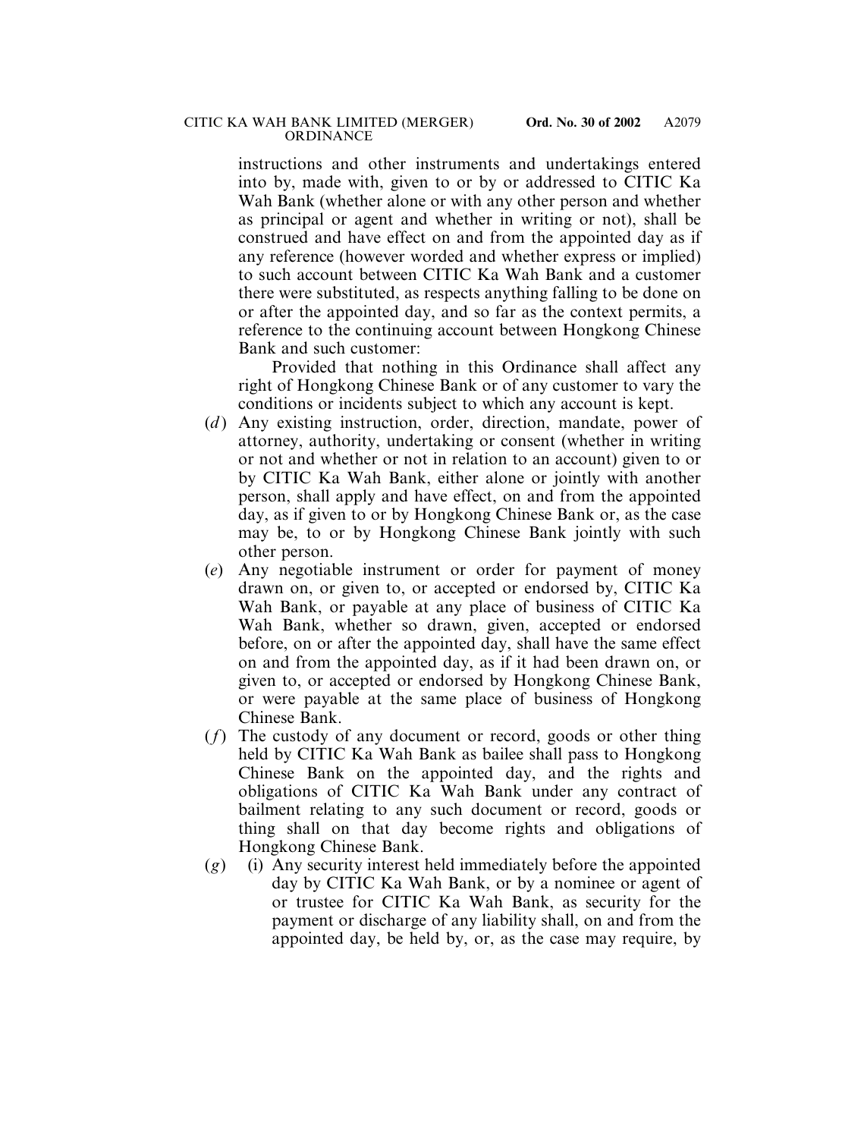instructions and other instruments and undertakings entered into by, made with, given to or by or addressed to CITIC Ka Wah Bank (whether alone or with any other person and whether as principal or agent and whether in writing or not), shall be construed and have effect on and from the appointed day as if any reference (however worded and whether express or implied) to such account between CITIC Ka Wah Bank and a customer there were substituted, as respects anything falling to be done on or after the appointed day, and so far as the context permits, a reference to the continuing account between Hongkong Chinese Bank and such customer:

Provided that nothing in this Ordinance shall affect any right of Hongkong Chinese Bank or of any customer to vary the conditions or incidents subject to which any account is kept.

- (*d*) Any existing instruction, order, direction, mandate, power of attorney, authority, undertaking or consent (whether in writing or not and whether or not in relation to an account) given to or by CITIC Ka Wah Bank, either alone or jointly with another person, shall apply and have effect, on and from the appointed day, as if given to or by Hongkong Chinese Bank or, as the case may be, to or by Hongkong Chinese Bank jointly with such other person.
- (*e*) Any negotiable instrument or order for payment of money drawn on, or given to, or accepted or endorsed by, CITIC Ka Wah Bank, or payable at any place of business of CITIC Ka Wah Bank, whether so drawn, given, accepted or endorsed before, on or after the appointed day, shall have the same effect on and from the appointed day, as if it had been drawn on, or given to, or accepted or endorsed by Hongkong Chinese Bank, or were payable at the same place of business of Hongkong Chinese Bank.
- (*f*) The custody of any document or record, goods or other thing held by CITIC Ka Wah Bank as bailee shall pass to Hongkong Chinese Bank on the appointed day, and the rights and obligations of CITIC Ka Wah Bank under any contract of bailment relating to any such document or record, goods or thing shall on that day become rights and obligations of Hongkong Chinese Bank.
- (*g*) (i) Any security interest held immediately before the appointed day by CITIC Ka Wah Bank, or by a nominee or agent of or trustee for CITIC Ka Wah Bank, as security for the payment or discharge of any liability shall, on and from the appointed day, be held by, or, as the case may require, by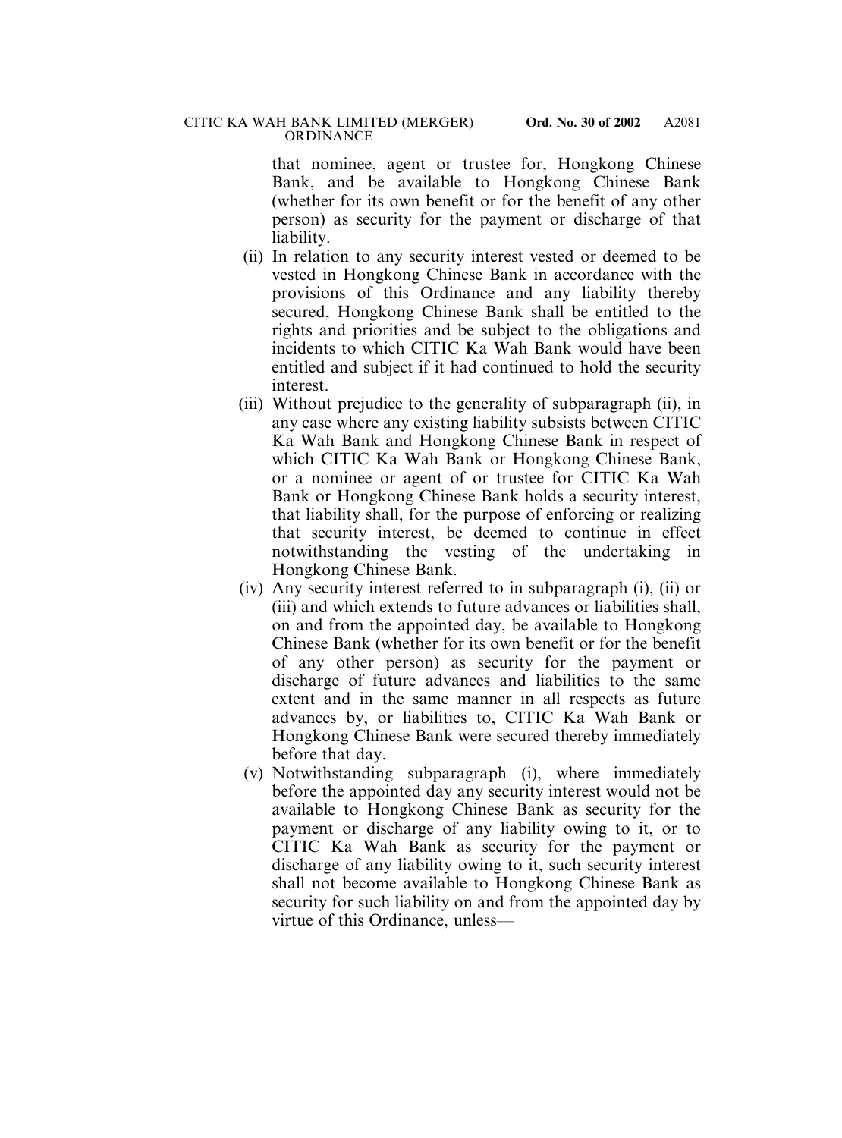that nominee, agent or trustee for, Hongkong Chinese Bank, and be available to Hongkong Chinese Bank (whether for its own benefit or for the benefit of any other person) as security for the payment or discharge of that liability.

- (ii) In relation to any security interest vested or deemed to be vested in Hongkong Chinese Bank in accordance with the provisions of this Ordinance and any liability thereby secured, Hongkong Chinese Bank shall be entitled to the rights and priorities and be subject to the obligations and incidents to which CITIC Ka Wah Bank would have been entitled and subject if it had continued to hold the security interest.
- (iii) Without prejudice to the generality of subparagraph (ii), in any case where any existing liability subsists between CITIC Ka Wah Bank and Hongkong Chinese Bank in respect of which CITIC Ka Wah Bank or Hongkong Chinese Bank, or a nominee or agent of or trustee for CITIC Ka Wah Bank or Hongkong Chinese Bank holds a security interest, that liability shall, for the purpose of enforcing or realizing that security interest, be deemed to continue in effect notwithstanding the vesting of the undertaking in Hongkong Chinese Bank.
- (iv) Any security interest referred to in subparagraph (i), (ii) or (iii) and which extends to future advances or liabilities shall, on and from the appointed day, be available to Hongkong Chinese Bank (whether for its own benefit or for the benefit of any other person) as security for the payment or discharge of future advances and liabilities to the same extent and in the same manner in all respects as future advances by, or liabilities to, CITIC Ka Wah Bank or Hongkong Chinese Bank were secured thereby immediately before that day.
- (v) Notwithstanding subparagraph (i), where immediately before the appointed day any security interest would not be available to Hongkong Chinese Bank as security for the payment or discharge of any liability owing to it, or to CITIC Ka Wah Bank as security for the payment or discharge of any liability owing to it, such security interest shall not become available to Hongkong Chinese Bank as security for such liability on and from the appointed day by virtue of this Ordinance, unless—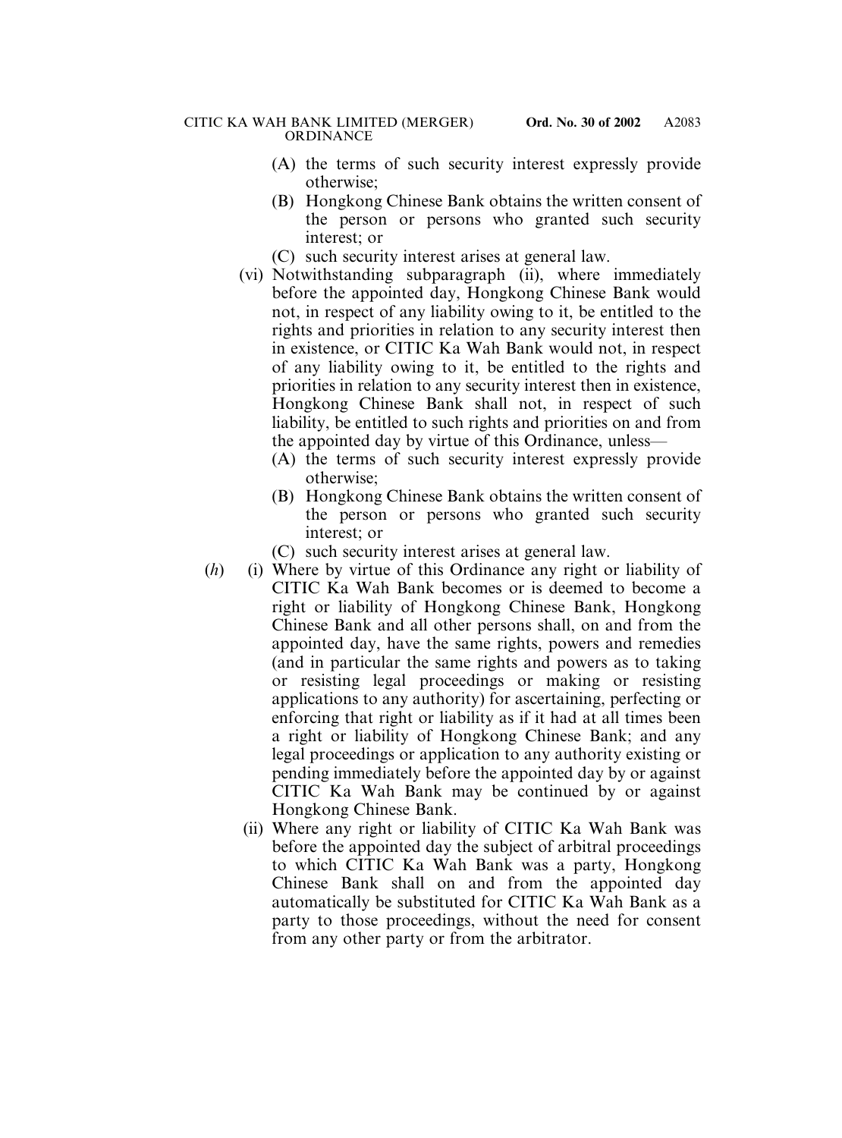- (A) the terms of such security interest expressly provide otherwise;
- (B) Hongkong Chinese Bank obtains the written consent of the person or persons who granted such security interest; or
- (C) such security interest arises at general law.
- (vi) Notwithstanding subparagraph (ii), where immediately before the appointed day, Hongkong Chinese Bank would not, in respect of any liability owing to it, be entitled to the rights and priorities in relation to any security interest then in existence, or CITIC Ka Wah Bank would not, in respect of any liability owing to it, be entitled to the rights and priorities in relation to any security interest then in existence, Hongkong Chinese Bank shall not, in respect of such liability, be entitled to such rights and priorities on and from the appointed day by virtue of this Ordinance, unless—
	- (A) the terms of such security interest expressly provide otherwise;
	- (B) Hongkong Chinese Bank obtains the written consent of the person or persons who granted such security interest; or
	- (C) such security interest arises at general law.
- (*h*) (i) Where by virtue of this Ordinance any right or liability of CITIC Ka Wah Bank becomes or is deemed to become a right or liability of Hongkong Chinese Bank, Hongkong Chinese Bank and all other persons shall, on and from the appointed day, have the same rights, powers and remedies (and in particular the same rights and powers as to taking or resisting legal proceedings or making or resisting applications to any authority) for ascertaining, perfecting or enforcing that right or liability as if it had at all times been a right or liability of Hongkong Chinese Bank; and any legal proceedings or application to any authority existing or pending immediately before the appointed day by or against CITIC Ka Wah Bank may be continued by or against Hongkong Chinese Bank.
	- (ii) Where any right or liability of CITIC Ka Wah Bank was before the appointed day the subject of arbitral proceedings to which CITIC Ka Wah Bank was a party, Hongkong Chinese Bank shall on and from the appointed day automatically be substituted for CITIC Ka Wah Bank as a party to those proceedings, without the need for consent from any other party or from the arbitrator.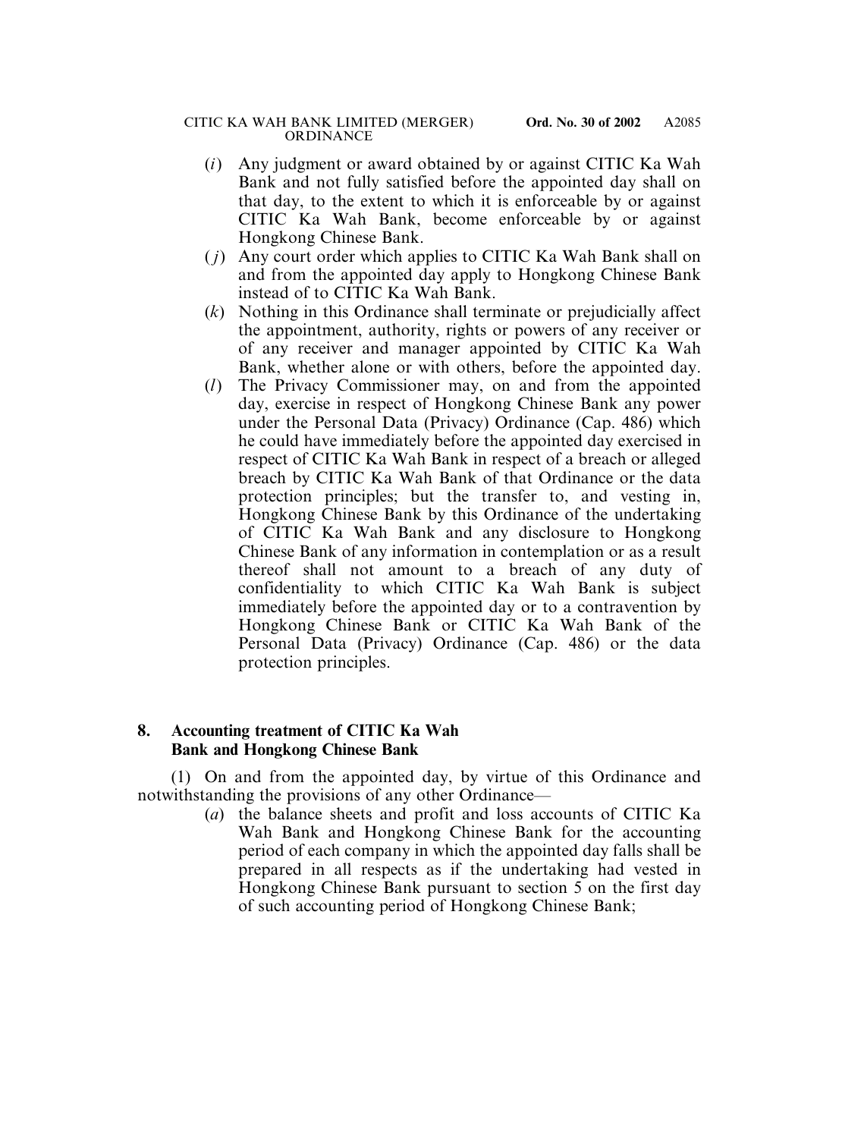- (*i*) Any judgment or award obtained by or against CITIC Ka Wah Bank and not fully satisfied before the appointed day shall on that day, to the extent to which it is enforceable by or against CITIC Ka Wah Bank, become enforceable by or against Hongkong Chinese Bank.
- ( *j*) Any court order which applies to CITIC Ka Wah Bank shall on and from the appointed day apply to Hongkong Chinese Bank instead of to CITIC Ka Wah Bank.
- (*k*) Nothing in this Ordinance shall terminate or prejudicially affect the appointment, authority, rights or powers of any receiver or of any receiver and manager appointed by CITIC Ka Wah Bank, whether alone or with others, before the appointed day.
- (*l*) The Privacy Commissioner may, on and from the appointed day, exercise in respect of Hongkong Chinese Bank any power under the Personal Data (Privacy) Ordinance (Cap. 486) which he could have immediately before the appointed day exercised in respect of CITIC Ka Wah Bank in respect of a breach or alleged breach by CITIC Ka Wah Bank of that Ordinance or the data protection principles; but the transfer to, and vesting in, Hongkong Chinese Bank by this Ordinance of the undertaking of CITIC Ka Wah Bank and any disclosure to Hongkong Chinese Bank of any information in contemplation or as a result thereof shall not amount to a breach of any duty of confidentiality to which CITIC Ka Wah Bank is subject immediately before the appointed day or to a contravention by Hongkong Chinese Bank or CITIC Ka Wah Bank of the Personal Data (Privacy) Ordinance (Cap. 486) or the data protection principles.

# **8. Accounting treatment of CITIC Ka Wah Bank and Hongkong Chinese Bank**

(1) On and from the appointed day, by virtue of this Ordinance and notwithstanding the provisions of any other Ordinance—

(*a*) the balance sheets and profit and loss accounts of CITIC Ka Wah Bank and Hongkong Chinese Bank for the accounting period of each company in which the appointed day falls shall be prepared in all respects as if the undertaking had vested in Hongkong Chinese Bank pursuant to section 5 on the first day of such accounting period of Hongkong Chinese Bank;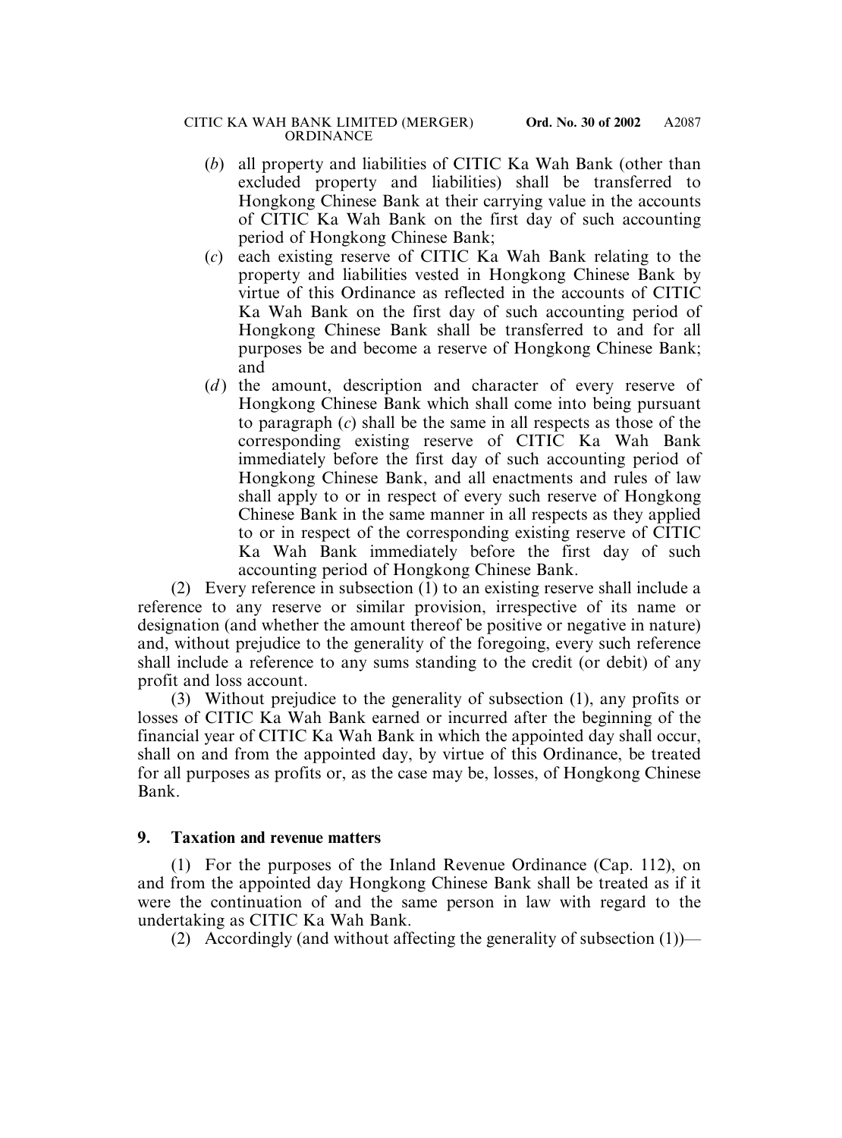- (*b*) all property and liabilities of CITIC Ka Wah Bank (other than excluded property and liabilities) shall be transferred to Hongkong Chinese Bank at their carrying value in the accounts of CITIC Ka Wah Bank on the first day of such accounting period of Hongkong Chinese Bank;
- (*c*) each existing reserve of CITIC Ka Wah Bank relating to the property and liabilities vested in Hongkong Chinese Bank by virtue of this Ordinance as reflected in the accounts of CITIC Ka Wah Bank on the first day of such accounting period of Hongkong Chinese Bank shall be transferred to and for all purposes be and become a reserve of Hongkong Chinese Bank; and
- (*d*) the amount, description and character of every reserve of Hongkong Chinese Bank which shall come into being pursuant to paragraph (*c*) shall be the same in all respects as those of the corresponding existing reserve of CITIC Ka Wah Bank immediately before the first day of such accounting period of Hongkong Chinese Bank, and all enactments and rules of law shall apply to or in respect of every such reserve of Hongkong Chinese Bank in the same manner in all respects as they applied to or in respect of the corresponding existing reserve of CITIC Ka Wah Bank immediately before the first day of such accounting period of Hongkong Chinese Bank.

(2) Every reference in subsection (1) to an existing reserve shall include a reference to any reserve or similar provision, irrespective of its name or designation (and whether the amount thereof be positive or negative in nature) and, without prejudice to the generality of the foregoing, every such reference shall include a reference to any sums standing to the credit (or debit) of any profit and loss account.

(3) Without prejudice to the generality of subsection (1), any profits or losses of CITIC Ka Wah Bank earned or incurred after the beginning of the financial year of CITIC Ka Wah Bank in which the appointed day shall occur, shall on and from the appointed day, by virtue of this Ordinance, be treated for all purposes as profits or, as the case may be, losses, of Hongkong Chinese Bank.

# **9. Taxation and revenue matters**

(1) For the purposes of the Inland Revenue Ordinance (Cap. 112), on and from the appointed day Hongkong Chinese Bank shall be treated as if it were the continuation of and the same person in law with regard to the undertaking as CITIC Ka Wah Bank.

(2) Accordingly (and without affecting the generality of subsection  $(1)$ )—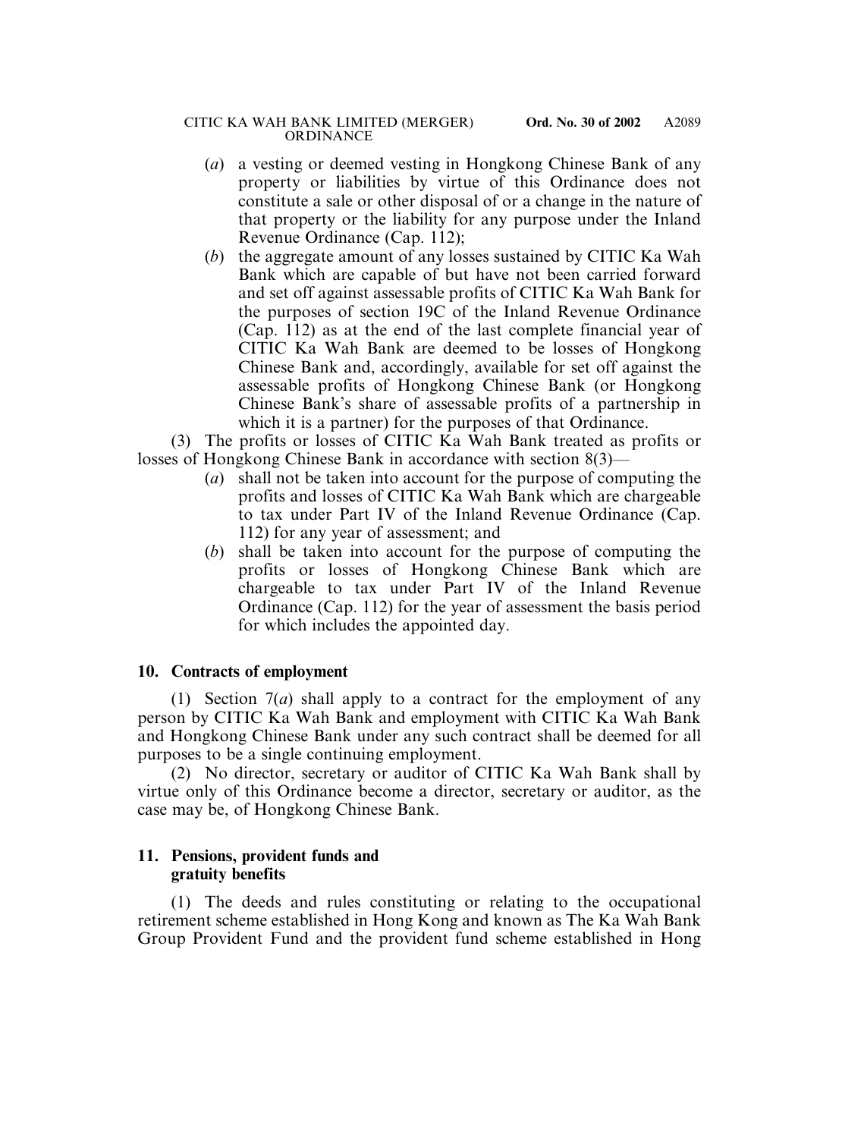- (*a*) a vesting or deemed vesting in Hongkong Chinese Bank of any property or liabilities by virtue of this Ordinance does not constitute a sale or other disposal of or a change in the nature of that property or the liability for any purpose under the Inland Revenue Ordinance (Cap. 112);
- (*b*) the aggregate amount of any losses sustained by CITIC Ka Wah Bank which are capable of but have not been carried forward and set off against assessable profits of CITIC Ka Wah Bank for the purposes of section 19C of the Inland Revenue Ordinance (Cap. 112) as at the end of the last complete financial year of CITIC Ka Wah Bank are deemed to be losses of Hongkong Chinese Bank and, accordingly, available for set off against the assessable profits of Hongkong Chinese Bank (or Hongkong Chinese Bank's share of assessable profits of a partnership in which it is a partner) for the purposes of that Ordinance.

(3) The profits or losses of CITIC Ka Wah Bank treated as profits or losses of Hongkong Chinese Bank in accordance with section 8(3)—

- (*a*) shall not be taken into account for the purpose of computing the profits and losses of CITIC Ka Wah Bank which are chargeable to tax under Part IV of the Inland Revenue Ordinance (Cap. 112) for any year of assessment; and
- (*b*) shall be taken into account for the purpose of computing the profits or losses of Hongkong Chinese Bank which are chargeable to tax under Part IV of the Inland Revenue Ordinance (Cap. 112) for the year of assessment the basis period for which includes the appointed day.

# **10. Contracts of employment**

(1) Section 7(*a*) shall apply to a contract for the employment of any person by CITIC Ka Wah Bank and employment with CITIC Ka Wah Bank and Hongkong Chinese Bank under any such contract shall be deemed for all purposes to be a single continuing employment.

(2) No director, secretary or auditor of CITIC Ka Wah Bank shall by virtue only of this Ordinance become a director, secretary or auditor, as the case may be, of Hongkong Chinese Bank.

# **11. Pensions, provident funds and gratuity benefits**

(1) The deeds and rules constituting or relating to the occupational retirement scheme established in Hong Kong and known as The Ka Wah Bank Group Provident Fund and the provident fund scheme established in Hong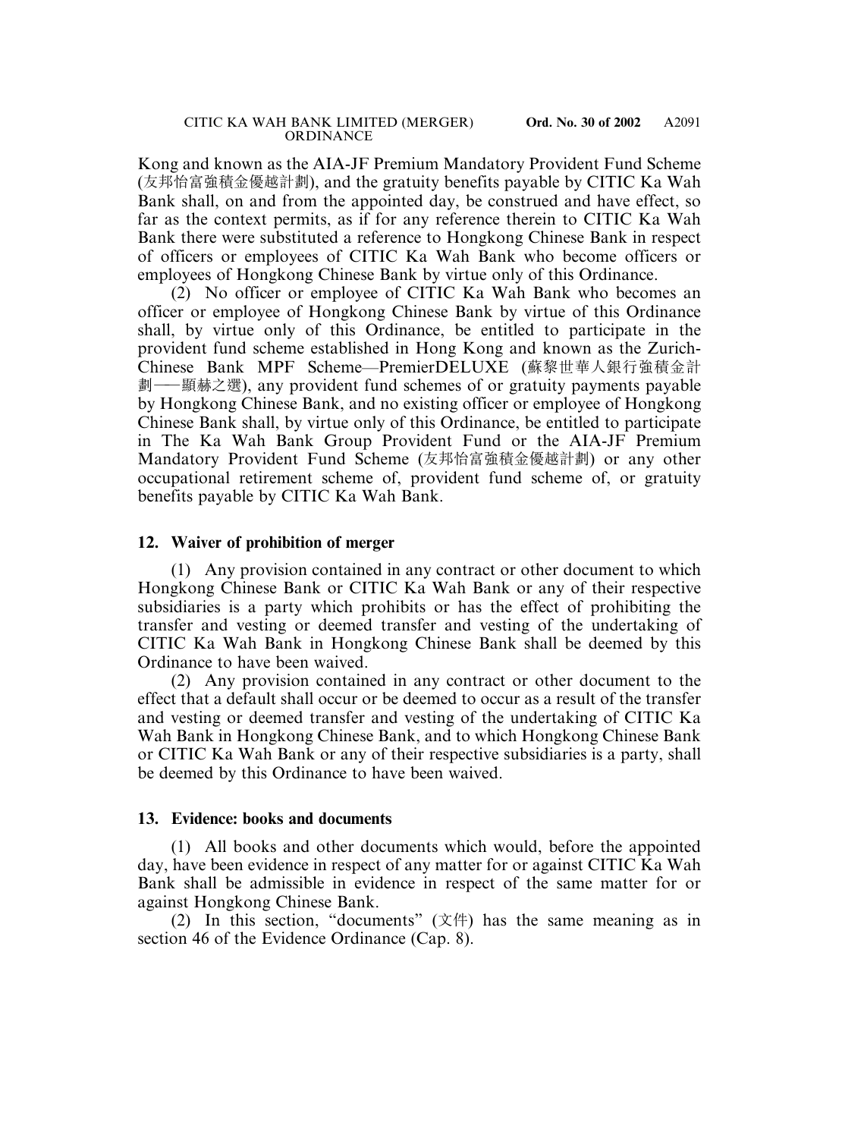Kong and known as the AIA-JF Premium Mandatory Provident Fund Scheme (友邦怡富強積金優越計劃), and the gratuity benefits payable by CITIC Ka Wah Bank shall, on and from the appointed day, be construed and have effect, so far as the context permits, as if for any reference therein to CITIC Ka Wah Bank there were substituted a reference to Hongkong Chinese Bank in respect of officers or employees of CITIC Ka Wah Bank who become officers or employees of Hongkong Chinese Bank by virtue only of this Ordinance.

(2) No officer or employee of CITIC Ka Wah Bank who becomes an officer or employee of Hongkong Chinese Bank by virtue of this Ordinance shall, by virtue only of this Ordinance, be entitled to participate in the provident fund scheme established in Hong Kong and known as the Zurich-Chinese Bank MPF Scheme—PremierDELUXE (蘇黎世華人銀行強積金計 劃——顯赫之選), any provident fund schemes of or gratuity payments payable by Hongkong Chinese Bank, and no existing officer or employee of Hongkong Chinese Bank shall, by virtue only of this Ordinance, be entitled to participate in The Ka Wah Bank Group Provident Fund or the AIA-JF Premium Mandatory Provident Fund Scheme (友邦怡富強積金優越計劃) or any other occupational retirement scheme of, provident fund scheme of, or gratuity benefits payable by CITIC Ka Wah Bank.

## **12. Waiver of prohibition of merger**

(1) Any provision contained in any contract or other document to which Hongkong Chinese Bank or CITIC Ka Wah Bank or any of their respective subsidiaries is a party which prohibits or has the effect of prohibiting the transfer and vesting or deemed transfer and vesting of the undertaking of CITIC Ka Wah Bank in Hongkong Chinese Bank shall be deemed by this Ordinance to have been waived.

(2) Any provision contained in any contract or other document to the effect that a default shall occur or be deemed to occur as a result of the transfer and vesting or deemed transfer and vesting of the undertaking of CITIC Ka Wah Bank in Hongkong Chinese Bank, and to which Hongkong Chinese Bank or CITIC Ka Wah Bank or any of their respective subsidiaries is a party, shall be deemed by this Ordinance to have been waived.

#### **13. Evidence: books and documents**

(1) All books and other documents which would, before the appointed day, have been evidence in respect of any matter for or against CITIC Ka Wah Bank shall be admissible in evidence in respect of the same matter for or against Hongkong Chinese Bank.

(2) In this section, "documents" (文件) has the same meaning as in section 46 of the Evidence Ordinance (Cap. 8).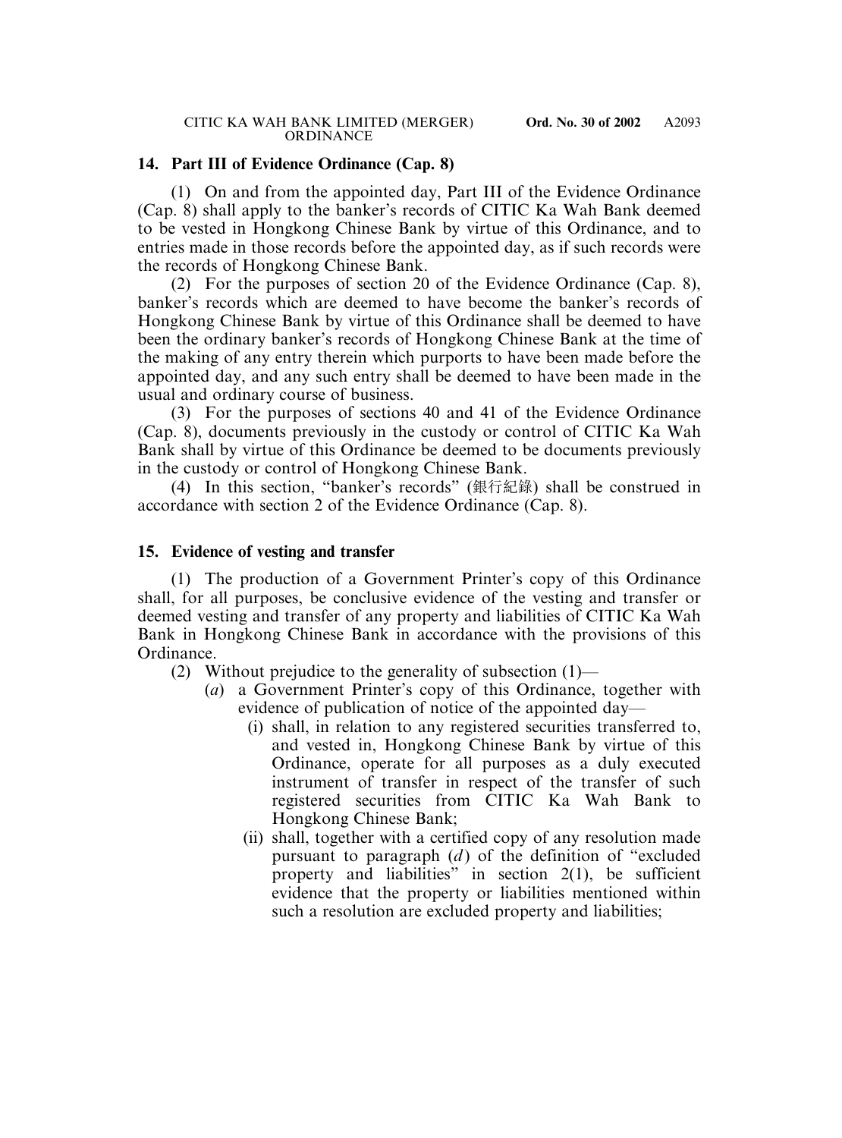# **14. Part III of Evidence Ordinance (Cap. 8)**

(1) On and from the appointed day, Part III of the Evidence Ordinance (Cap. 8) shall apply to the banker's records of CITIC Ka Wah Bank deemed to be vested in Hongkong Chinese Bank by virtue of this Ordinance, and to entries made in those records before the appointed day, as if such records were the records of Hongkong Chinese Bank.

(2) For the purposes of section 20 of the Evidence Ordinance (Cap. 8), banker's records which are deemed to have become the banker's records of Hongkong Chinese Bank by virtue of this Ordinance shall be deemed to have been the ordinary banker's records of Hongkong Chinese Bank at the time of the making of any entry therein which purports to have been made before the appointed day, and any such entry shall be deemed to have been made in the usual and ordinary course of business.

(3) For the purposes of sections 40 and 41 of the Evidence Ordinance (Cap. 8), documents previously in the custody or control of CITIC Ka Wah Bank shall by virtue of this Ordinance be deemed to be documents previously in the custody or control of Hongkong Chinese Bank.

(4) In this section, "banker's records" (銀行紀錄) shall be construed in accordance with section 2 of the Evidence Ordinance (Cap. 8).

# **15. Evidence of vesting and transfer**

(1) The production of a Government Printer's copy of this Ordinance shall, for all purposes, be conclusive evidence of the vesting and transfer or deemed vesting and transfer of any property and liabilities of CITIC Ka Wah Bank in Hongkong Chinese Bank in accordance with the provisions of this Ordinance.

- (2) Without prejudice to the generality of subsection  $(1)$ 
	- (*a*) a Government Printer's copy of this Ordinance, together with evidence of publication of notice of the appointed day—
		- (i) shall, in relation to any registered securities transferred to, and vested in, Hongkong Chinese Bank by virtue of this Ordinance, operate for all purposes as a duly executed instrument of transfer in respect of the transfer of such registered securities from CITIC Ka Wah Bank to Hongkong Chinese Bank;
		- (ii) shall, together with a certified copy of any resolution made pursuant to paragraph  $(d)$  of the definition of "excluded" property and liabilities" in section 2(1), be sufficient evidence that the property or liabilities mentioned within such a resolution are excluded property and liabilities;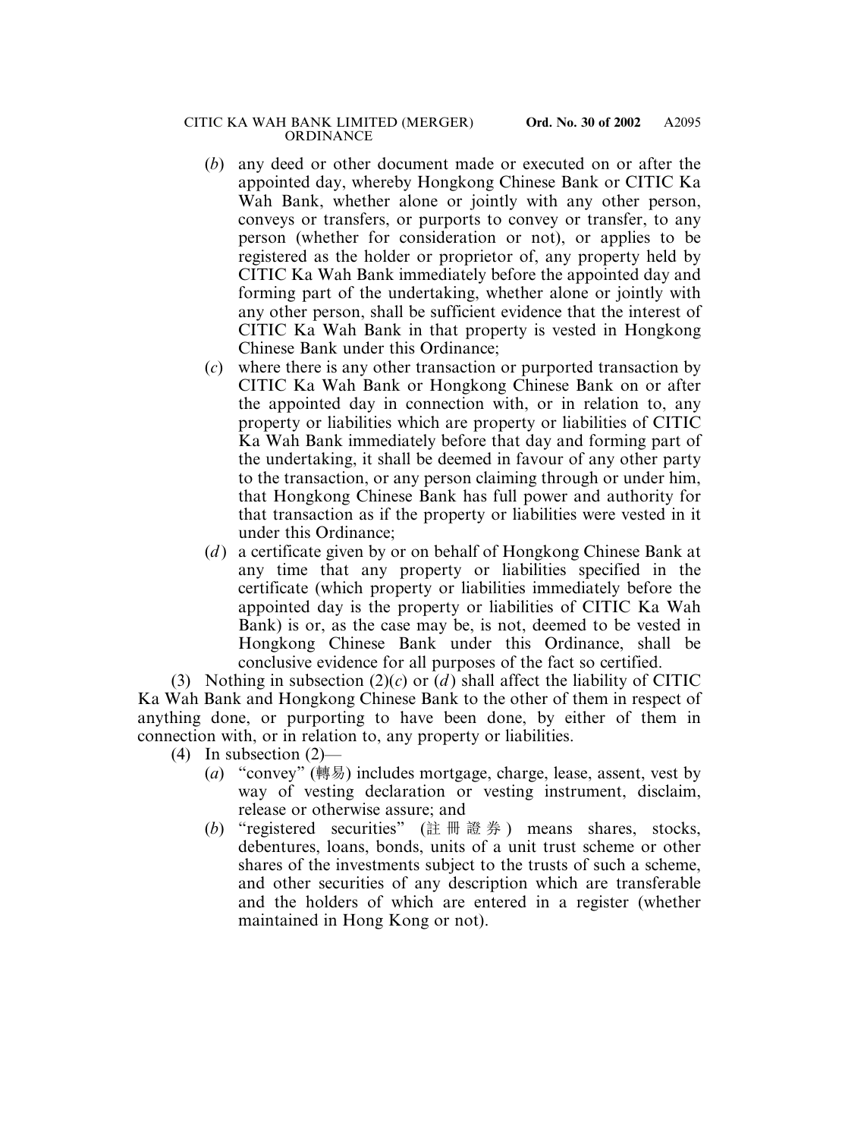- (*b*) any deed or other document made or executed on or after the appointed day, whereby Hongkong Chinese Bank or CITIC Ka Wah Bank, whether alone or jointly with any other person, conveys or transfers, or purports to convey or transfer, to any person (whether for consideration or not), or applies to be registered as the holder or proprietor of, any property held by CITIC Ka Wah Bank immediately before the appointed day and forming part of the undertaking, whether alone or jointly with any other person, shall be sufficient evidence that the interest of CITIC Ka Wah Bank in that property is vested in Hongkong Chinese Bank under this Ordinance;
- (*c*) where there is any other transaction or purported transaction by CITIC Ka Wah Bank or Hongkong Chinese Bank on or after the appointed day in connection with, or in relation to, any property or liabilities which are property or liabilities of CITIC Ka Wah Bank immediately before that day and forming part of the undertaking, it shall be deemed in favour of any other party to the transaction, or any person claiming through or under him, that Hongkong Chinese Bank has full power and authority for that transaction as if the property or liabilities were vested in it under this Ordinance;
- (*d* ) a certificate given by or on behalf of Hongkong Chinese Bank at any time that any property or liabilities specified in the certificate (which property or liabilities immediately before the appointed day is the property or liabilities of CITIC Ka Wah Bank) is or, as the case may be, is not, deemed to be vested in Hongkong Chinese Bank under this Ordinance, shall be conclusive evidence for all purposes of the fact so certified.

(3) Nothing in subsection  $(2)(c)$  or  $(d)$  shall affect the liability of CITIC Ka Wah Bank and Hongkong Chinese Bank to the other of them in respect of anything done, or purporting to have been done, by either of them in connection with, or in relation to, any property or liabilities.

- (4) In subsection (2)—
	- (*a*) "convey" (轉易) includes mortgage, charge, lease, assent, vest by way of vesting declaration or vesting instrument, disclaim, release or otherwise assure; and
	- (*b*) "registered securities" (註冊證券 ) means shares, stocks, debentures, loans, bonds, units of a unit trust scheme or other shares of the investments subject to the trusts of such a scheme, and other securities of any description which are transferable and the holders of which are entered in a register (whether maintained in Hong Kong or not).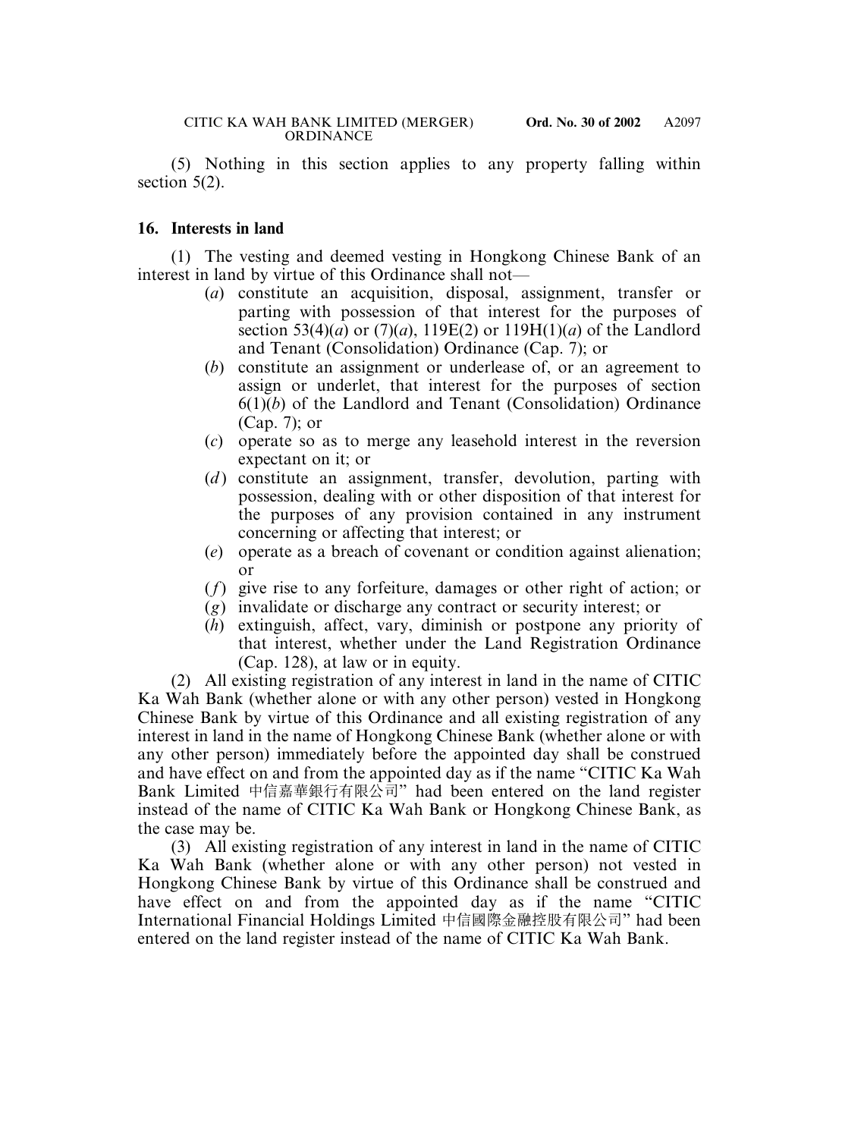(5) Nothing in this section applies to any property falling within section 5(2).

#### **16. Interests in land**

(1) The vesting and deemed vesting in Hongkong Chinese Bank of an interest in land by virtue of this Ordinance shall not—

- (*a*) constitute an acquisition, disposal, assignment, transfer or parting with possession of that interest for the purposes of section 53(4)(*a*) or (7)(*a*), 119E(2) or 119H(1)(*a*) of the Landlord and Tenant (Consolidation) Ordinance (Cap. 7); or
- (*b*) constitute an assignment or underlease of, or an agreement to assign or underlet, that interest for the purposes of section  $6(1)(b)$  of the Landlord and Tenant (Consolidation) Ordinance (Cap. 7); or
- (*c*) operate so as to merge any leasehold interest in the reversion expectant on it; or
- (*d*) constitute an assignment, transfer, devolution, parting with possession, dealing with or other disposition of that interest for the purposes of any provision contained in any instrument concerning or affecting that interest; or
- (*e*) operate as a breach of covenant or condition against alienation; or
- (*f*) give rise to any forfeiture, damages or other right of action; or
- (*g*) invalidate or discharge any contract or security interest; or
- (*h*) extinguish, affect, vary, diminish or postpone any priority of that interest, whether under the Land Registration Ordinance (Cap. 128), at law or in equity.

(2) All existing registration of any interest in land in the name of CITIC Ka Wah Bank (whether alone or with any other person) vested in Hongkong Chinese Bank by virtue of this Ordinance and all existing registration of any interest in land in the name of Hongkong Chinese Bank (whether alone or with any other person) immediately before the appointed day shall be construed and have effect on and from the appointed day as if the name "CITIC Ka Wah Bank Limited 中信嘉華銀行有限公司" had been entered on the land register instead of the name of CITIC Ka Wah Bank or Hongkong Chinese Bank, as the case may be.

(3) All existing registration of any interest in land in the name of CITIC Ka Wah Bank (whether alone or with any other person) not vested in Hongkong Chinese Bank by virtue of this Ordinance shall be construed and have effect on and from the appointed day as if the name "CITIC International Financial Holdings Limited 中信國際金融控股有限公司" had been entered on the land register instead of the name of CITIC Ka Wah Bank.